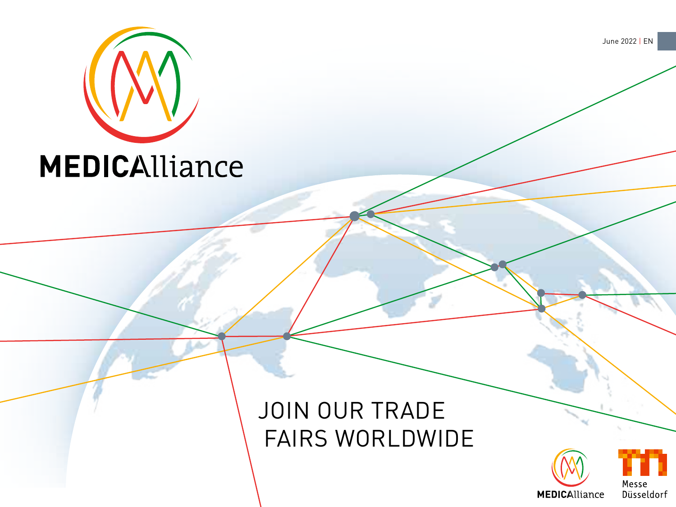

## JOIN OUR TRADE FAIRS WORLDWIDE





June 2022 | EN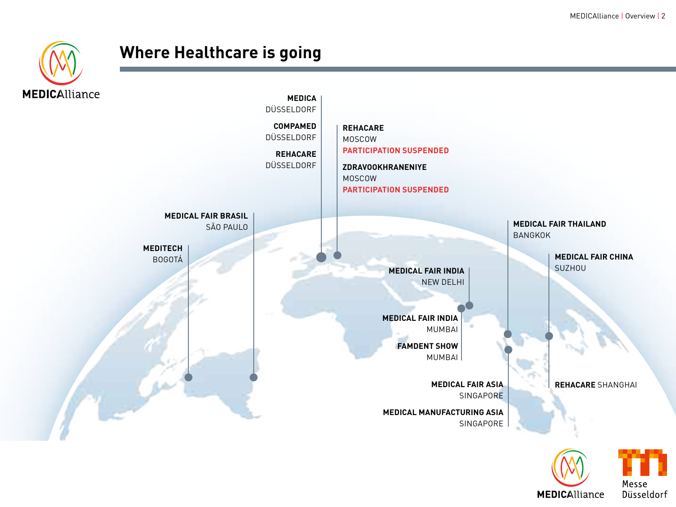

### **Where Healthcare is going**



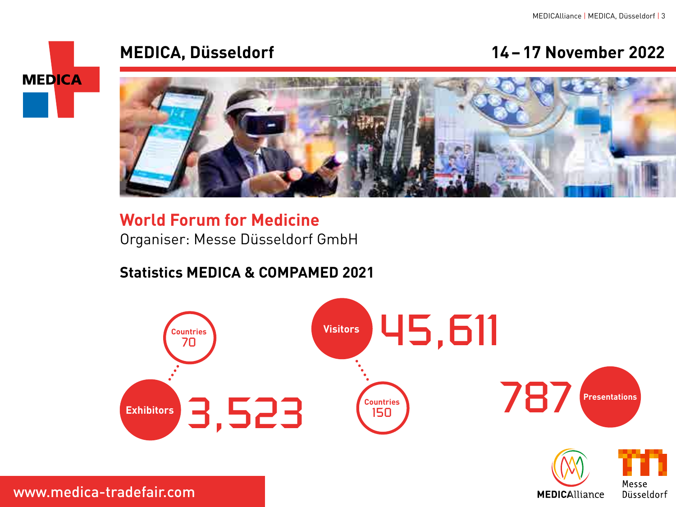**MEDICAlliance** 

#### **MEDICA, Düsseldorf 14–17 November 2022**



#### **World Forum for Medicine** Organiser: Messe Düsseldorf GmbH

#### **Statistics MEDICA & COMPAMED 2021**



www.medica-tradefair.com

**MEDICA**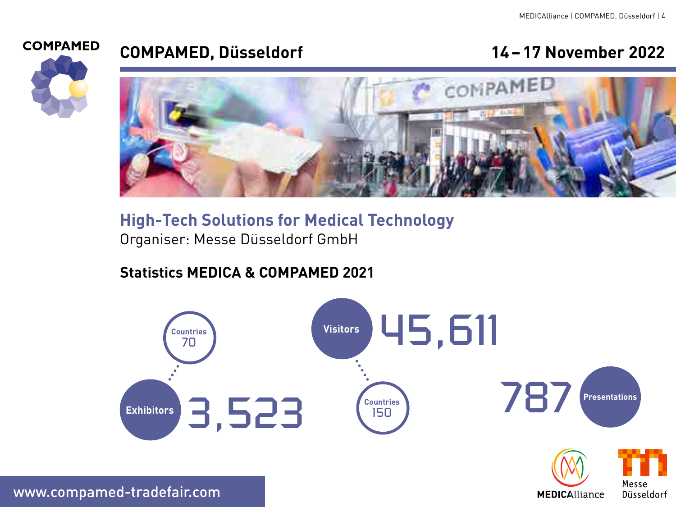**MEDICAlliance** 



### **COMPAMED, Düsseldorf 14–17 November 2022**



### **High-Tech Solutions for Medical Technology** Organiser: Messe Düsseldorf GmbH

#### **Statistics MEDICA & COMPAMED 2021**



www.compamed-tradefair.com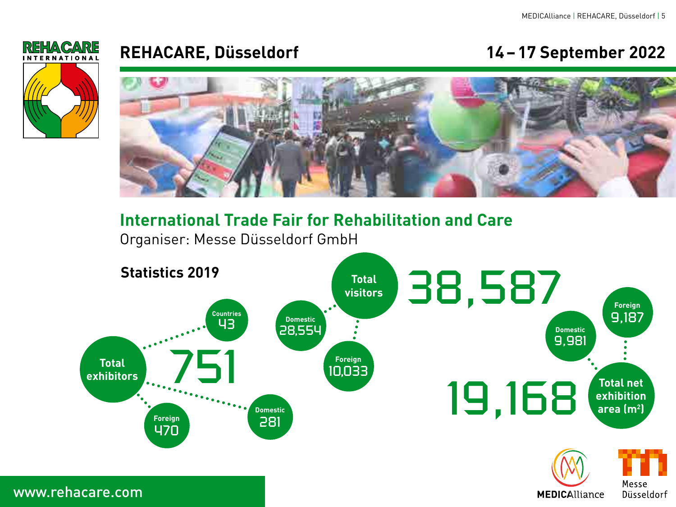

#### **REHACARE, Düsseldorf 14–17 September 2022**



**International Trade Fair for Rehabilitation and Care**

Organiser: Messe Düsseldorf GmbH

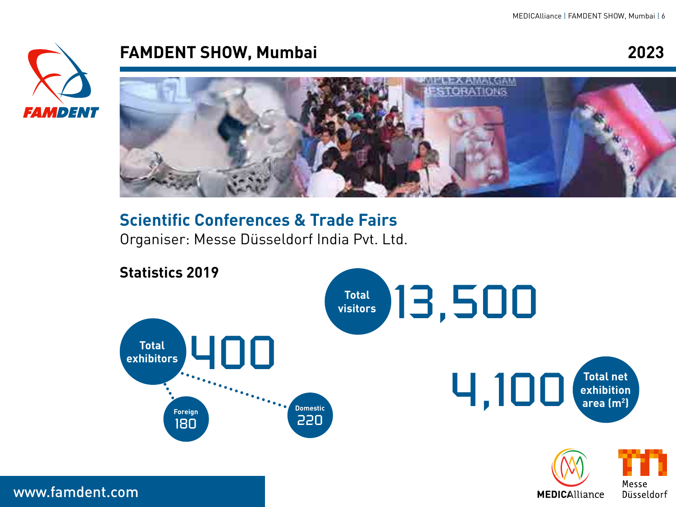

#### **FAMDENT SHOW, Mumbai 2023**



### **Scientific Conferences & Trade Fairs**

Organiser: Messe Düsseldorf India Pvt. Ltd.



www.famdent.com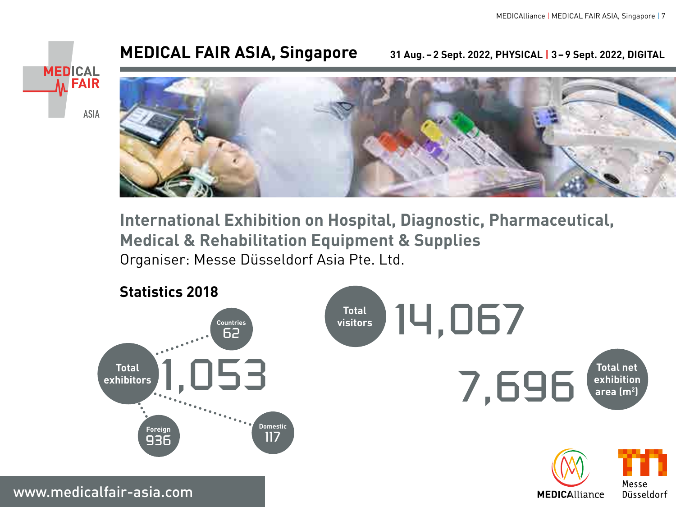**MEDICAlliance** 

#### **MEDICAL FAIR ASIA, Singapore 31 Aug.–2 Sept. 2022, PHYSICAL | 3–9 Sept. 2022, DIGITAL**





**International Exhibition on Hospital, Diagnostic, Pharmaceutical, Medical & Rehabilitation Equipment & Supplies** Organiser: Messe Düsseldorf Asia Pte. Ltd.



www.medicalfair-asia.com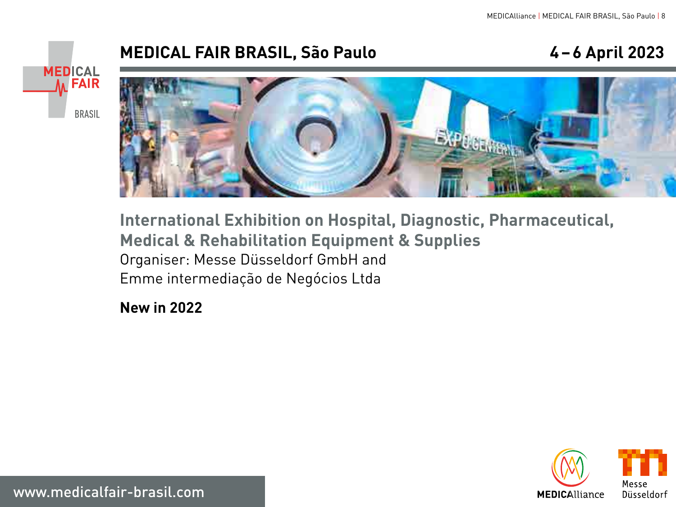### **MEDICAL FAIR BRASIL, São Paulo 4–6 April 2023**





**International Exhibition on Hospital, Diagnostic, Pharmaceutical, Medical & Rehabilitation Equipment & Supplies** Organiser: Messe Düsseldorf GmbH and Emme intermediação de Negócios Ltda

**New in 2022**



www.medicalfair-brasil.com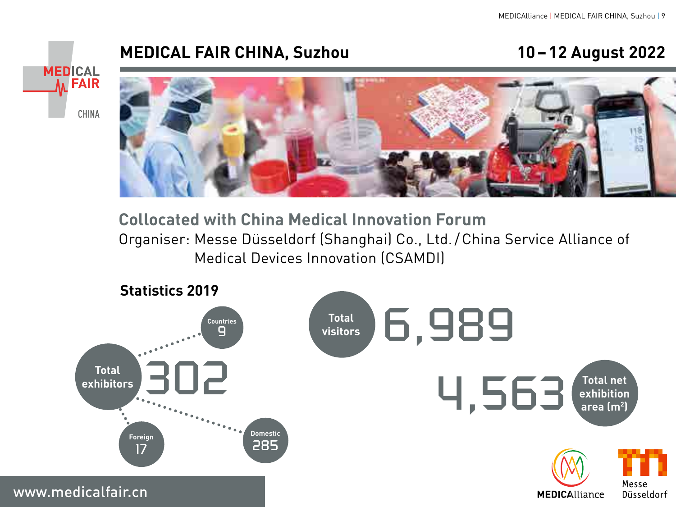#### **MEDICAL FAIR CHINA, Suzhou 10–12 August 2022**





**Collocated with China Medical Innovation Forum** Organiser: Messe Düsseldorf (Shanghai) Co., Ltd./China Service Alliance of Medical Devices Innovation (CSAMDI)

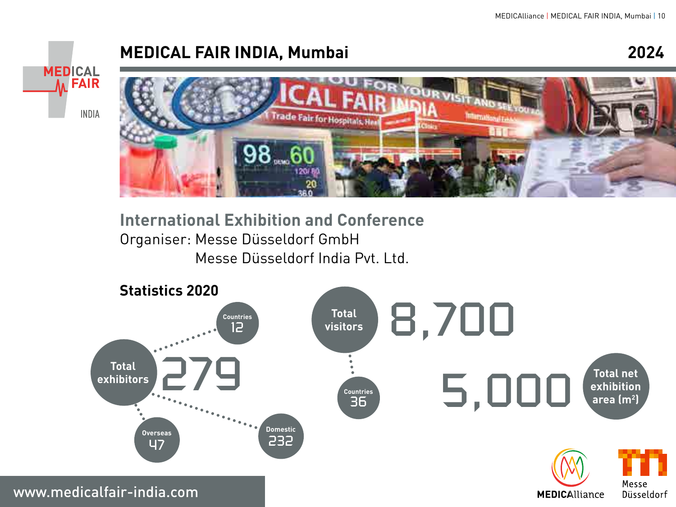### **MEDICAL FAIR INDIA, Mumbai 2024**





**International Exhibition and Conference** Organiser: Messe Düsseldorf GmbH Messe Düsseldorf India Pvt. Ltd.

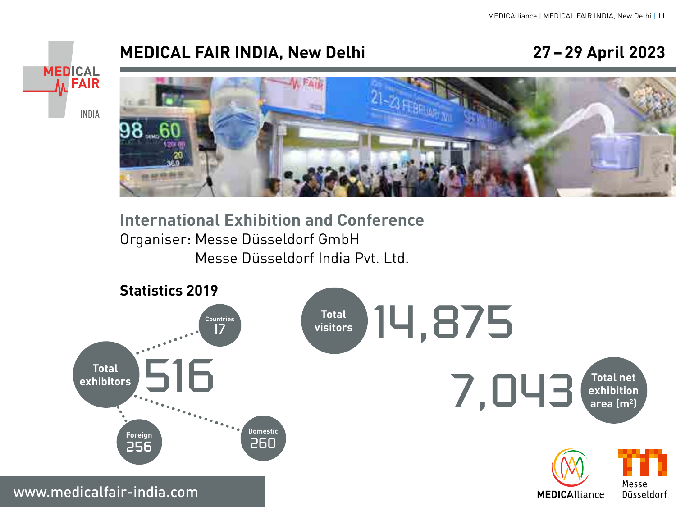### **MEDICAL FAIR INDIA, New Delhi 27–29 April 2023**





**International Exhibition and Conference** Organiser: Messe Düsseldorf GmbH Messe Düsseldorf India Pvt. Ltd.

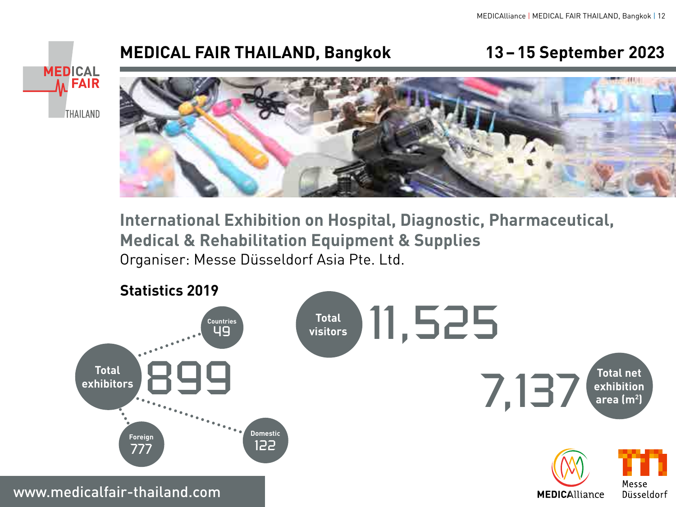### **MEDICAL FAIR THAILAND, Bangkok 13–15 September 2023**

**MEDICAL NEAIR THAILAND** 



**International Exhibition on Hospital, Diagnostic, Pharmaceutical, Medical & Rehabilitation Equipment & Supplies** Organiser: Messe Düsseldorf Asia Pte. Ltd.

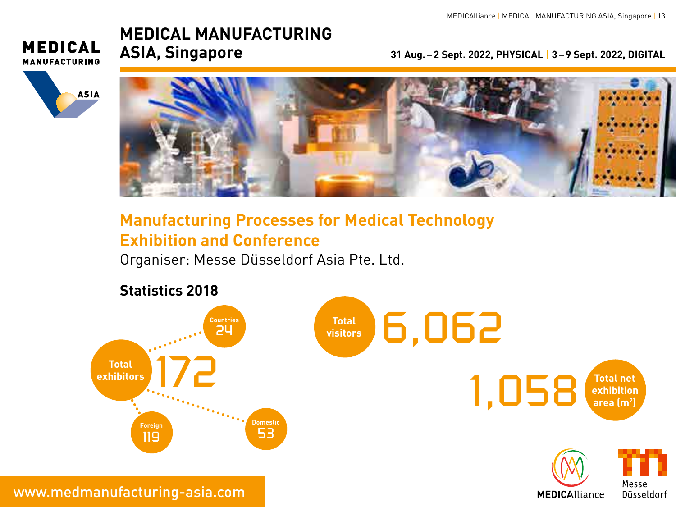#### **MEDICAL MANUFACTURING ASIA, Singapore 31 Aug.–2 Sept. 2022, PHYSICAL | 3–9 Sept. 2022, DIGITAL**

**MEDICAL MANUFACTURING** 





### **Manufacturing Processes for Medical Technology Exhibition and Conference**

Organiser: Messe Düsseldorf Asia Pte. Ltd.



www.medmanufacturing-asia.com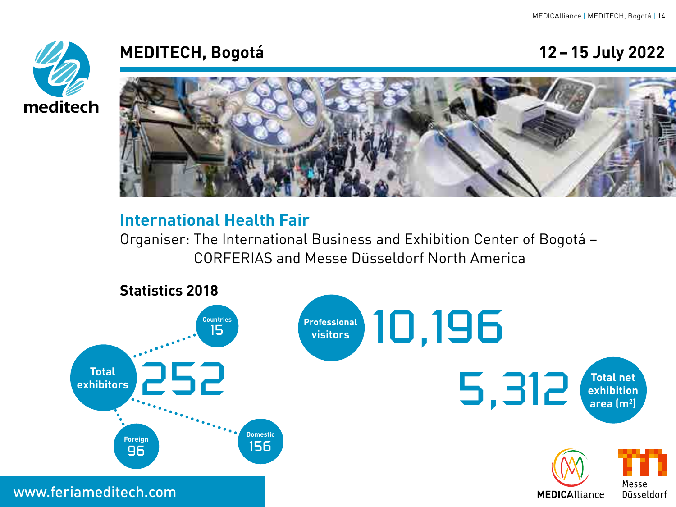

### **MEDITECH, Bogotá 12–15 July 2022**

### **International Health Fair**

Organiser: The International Business and Exhibition Center of Bogotá – CORFERIAS and Messe Düsseldorf North America



www.feriameditech.com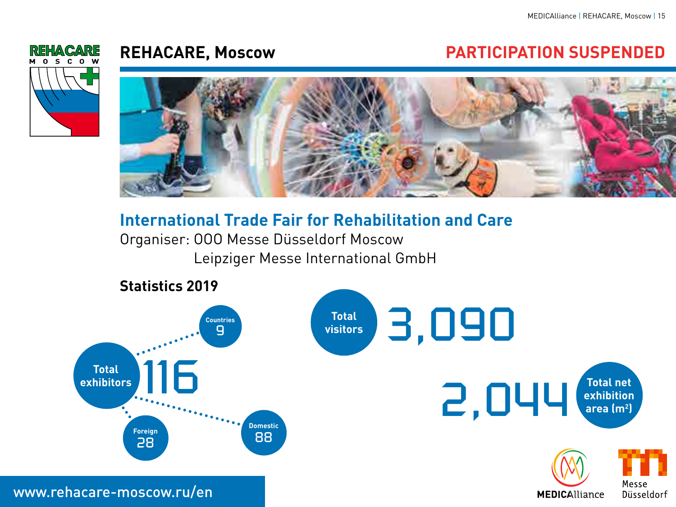

### **REHACARE, Moscow PARTICIPATION SUSPENDED**



#### **International Trade Fair for Rehabilitation and Care**

Organiser: OOO Messe Düsseldorf Moscow Leipziger Messe International GmbH

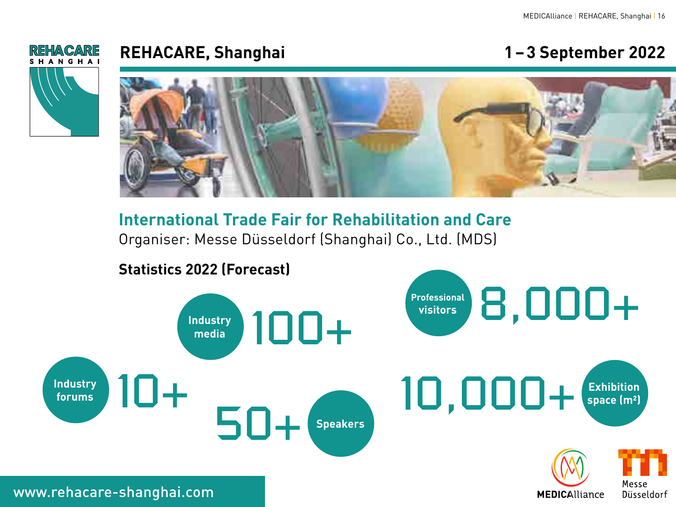**MEDICAlliance** 



#### **REHACARE, Shanghai 1–3 September 2022**

#### **International Trade Fair for Rehabilitation and Care** Organiser: Messe Düsseldorf (Shanghai) Co., Ltd. (MDS)

#### **Statistics 2022 (Forecast)**



www.rehacare-shanghai.com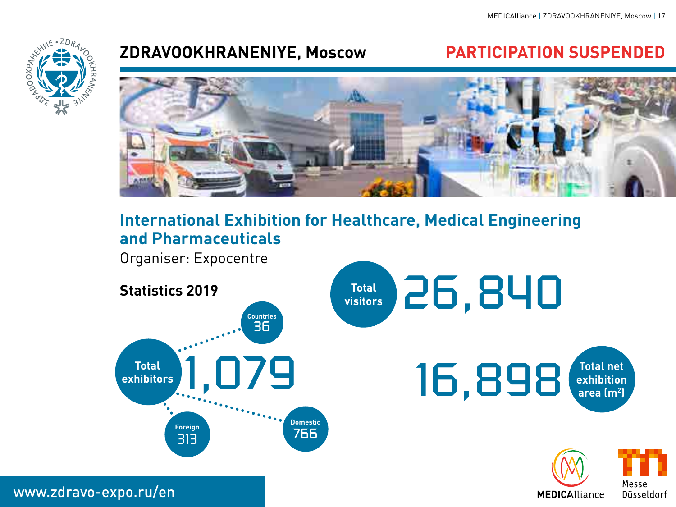Messe Düsseldorf

**MEDICAlliance** 



### **ZDRAVOOKHRANENIYE, Moscow PARTICIPATION SUSPENDED**



### **International Exhibition for Healthcare, Medical Engineering and Pharmaceuticals**

Organiser: Expocentre



www.zdravo-expo.ru/en